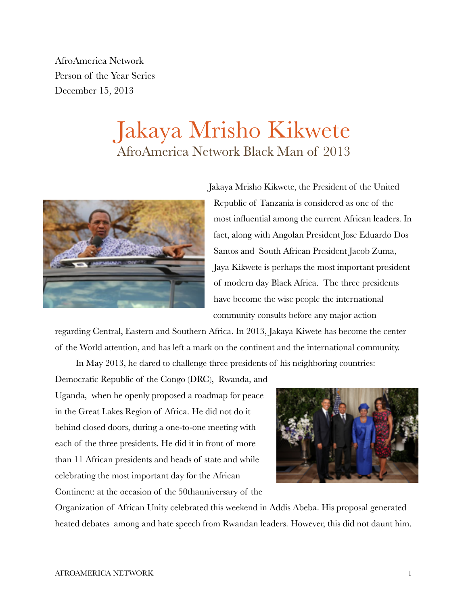AfroAmerica Network Person of the Year Series December 15, 2013

## Jakaya Mrisho Kikwete AfroAmerica Network Black Man of 2013



Jakaya Mrisho Kikwete, the President of the United Republic of Tanzania is considered as one of the most influential among the current African leaders. In fact, along with Angolan President Jose Eduardo Dos Santos and South African President Jacob Zuma, Jaya Kikwete is perhaps the most important president of modern day Black Africa. The three presidents have become the wise people the international community consults before any major action

regarding Central, Eastern and Southern Africa. In 2013, Jakaya Kiwete has become the center of the World attention, and has left a mark on the continent and the international community.

In May 2013, he dared to challenge three presidents of his neighboring countries:

Democratic Republic of the Congo (DRC), Rwanda, and Uganda, when he openly proposed a roadmap for peace in the Great Lakes Region of Africa. He did not do it behind closed doors, during a one-to-one meeting with each of the three presidents. He did it in front of more than 11 African presidents and heads of state and while celebrating the most important day for the African Continent: at the occasion of the 50thanniversary of the



Organization of African Unity celebrated this weekend in Addis Abeba. His proposal generated heated debates among and hate speech from Rwandan leaders. However, this did not daunt him.